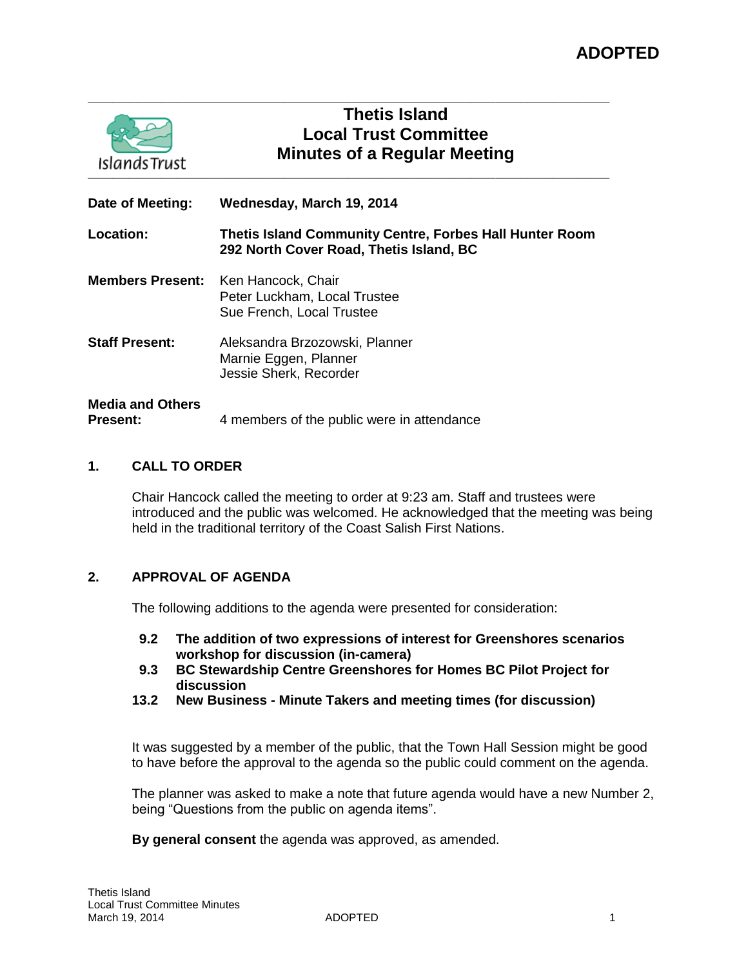| Islands Trust                              | <b>Thetis Island</b><br><b>Local Trust Committee</b><br><b>Minutes of a Regular Meeting</b>        |
|--------------------------------------------|----------------------------------------------------------------------------------------------------|
| Date of Meeting:                           | Wednesday, March 19, 2014                                                                          |
| Location:                                  | Thetis Island Community Centre, Forbes Hall Hunter Room<br>292 North Cover Road, Thetis Island, BC |
| <b>Members Present:</b>                    | Ken Hancock, Chair<br>Peter Luckham, Local Trustee<br>Sue French, Local Trustee                    |
| <b>Staff Present:</b>                      | Aleksandra Brzozowski, Planner<br>Marnie Eggen, Planner<br>Jessie Sherk, Recorder                  |
| <b>Media and Others</b><br><b>Present:</b> | 4 members of the public were in attendance                                                         |

**\_\_\_\_\_\_\_\_\_\_\_\_\_\_\_\_\_\_\_\_\_\_\_\_\_\_\_\_\_\_\_\_\_\_\_\_\_\_\_\_\_\_\_\_\_\_\_\_\_\_\_\_\_\_\_\_\_\_\_\_\_\_\_\_**

### **1. CALL TO ORDER**

Chair Hancock called the meeting to order at 9:23 am. Staff and trustees were introduced and the public was welcomed. He acknowledged that the meeting was being held in the traditional territory of the Coast Salish First Nations.

### **2. APPROVAL OF AGENDA**

The following additions to the agenda were presented for consideration:

- **9.2 The addition of two expressions of interest for Greenshores scenarios workshop for discussion (in-camera)**
- **9.3 BC Stewardship Centre Greenshores for Homes BC Pilot Project for discussion**
- **13.2 New Business - Minute Takers and meeting times (for discussion)**

It was suggested by a member of the public, that the Town Hall Session might be good to have before the approval to the agenda so the public could comment on the agenda.

The planner was asked to make a note that future agenda would have a new Number 2, being "Questions from the public on agenda items".

**By general consent** the agenda was approved, as amended.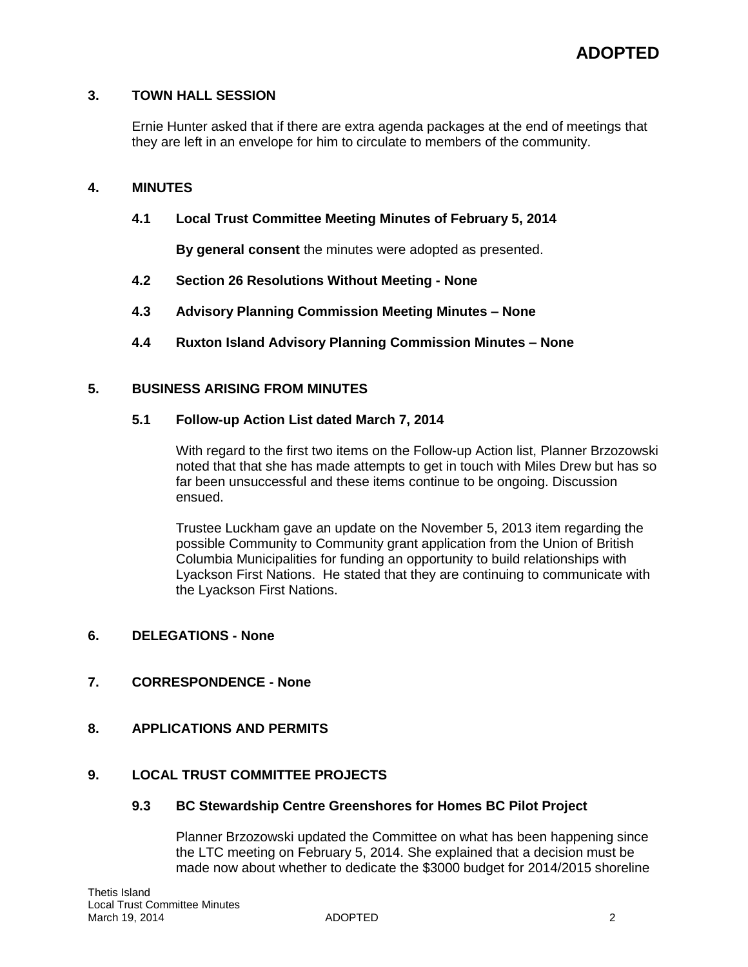### **3. TOWN HALL SESSION**

Ernie Hunter asked that if there are extra agenda packages at the end of meetings that they are left in an envelope for him to circulate to members of the community.

### **4. MINUTES**

### **4.1 Local Trust Committee Meeting Minutes of February 5, 2014**

**By general consent** the minutes were adopted as presented.

- **4.2 Section 26 Resolutions Without Meeting - None**
- **4.3 Advisory Planning Commission Meeting Minutes – None**
- **4.4 Ruxton Island Advisory Planning Commission Minutes – None**

### **5. BUSINESS ARISING FROM MINUTES**

### **5.1 Follow-up Action List dated March 7, 2014**

With regard to the first two items on the Follow-up Action list, Planner Brzozowski noted that that she has made attempts to get in touch with Miles Drew but has so far been unsuccessful and these items continue to be ongoing. Discussion ensued.

Trustee Luckham gave an update on the November 5, 2013 item regarding the possible Community to Community grant application from the Union of British Columbia Municipalities for funding an opportunity to build relationships with Lyackson First Nations. He stated that they are continuing to communicate with the Lyackson First Nations.

### **6. DELEGATIONS - None**

### **7. CORRESPONDENCE - None**

**8. APPLICATIONS AND PERMITS**

## **9. LOCAL TRUST COMMITTEE PROJECTS**

### **9.3 BC Stewardship Centre Greenshores for Homes BC Pilot Project**

Planner Brzozowski updated the Committee on what has been happening since the LTC meeting on February 5, 2014. She explained that a decision must be made now about whether to dedicate the \$3000 budget for 2014/2015 shoreline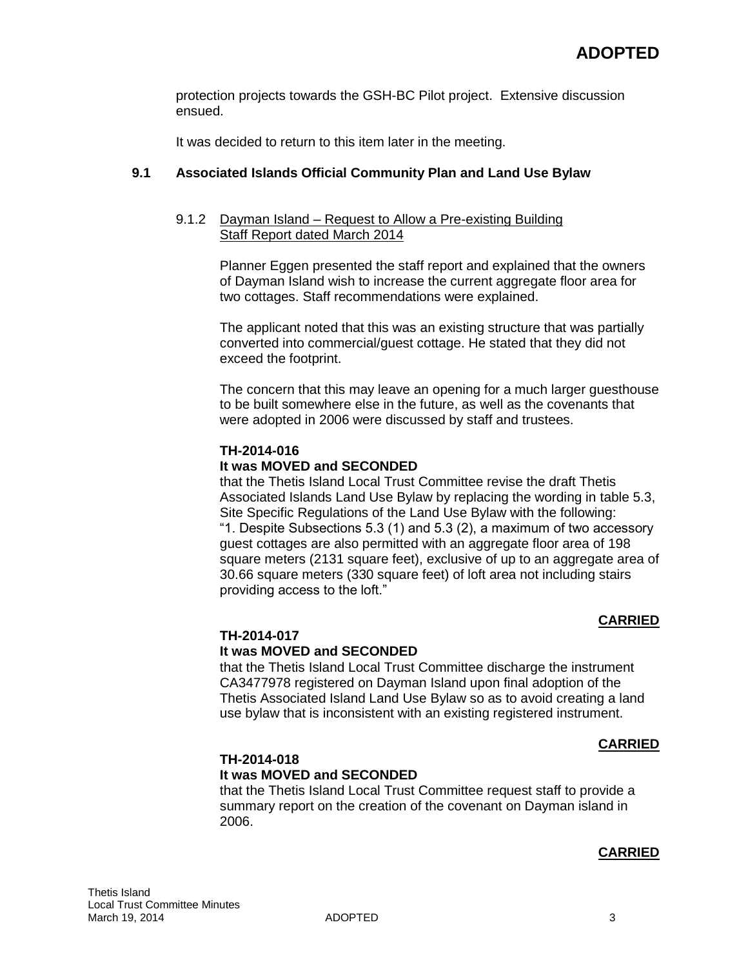protection projects towards the GSH-BC Pilot project. Extensive discussion ensued.

It was decided to return to this item later in the meeting.

## **9.1 Associated Islands Official Community Plan and Land Use Bylaw**

### 9.1.2 Dayman Island – Request to Allow a Pre-existing Building Staff Report dated March 2014

Planner Eggen presented the staff report and explained that the owners of Dayman Island wish to increase the current aggregate floor area for two cottages. Staff recommendations were explained.

The applicant noted that this was an existing structure that was partially converted into commercial/guest cottage. He stated that they did not exceed the footprint.

The concern that this may leave an opening for a much larger guesthouse to be built somewhere else in the future, as well as the covenants that were adopted in 2006 were discussed by staff and trustees.

### **TH-2014-016**

### **It was MOVED and SECONDED**

that the Thetis Island Local Trust Committee revise the draft Thetis Associated Islands Land Use Bylaw by replacing the wording in table 5.3, Site Specific Regulations of the Land Use Bylaw with the following: "1. Despite Subsections 5.3 (1) and 5.3 (2), a maximum of two accessory guest cottages are also permitted with an aggregate floor area of 198 square meters (2131 square feet), exclusive of up to an aggregate area of 30.66 square meters (330 square feet) of loft area not including stairs providing access to the loft."

### **CARRIED**

### **TH-2014-017**

### **It was MOVED and SECONDED**

that the Thetis Island Local Trust Committee discharge the instrument CA3477978 registered on Dayman Island upon final adoption of the Thetis Associated Island Land Use Bylaw so as to avoid creating a land use bylaw that is inconsistent with an existing registered instrument.

### **CARRIED**

## **TH-2014-018**

### **It was MOVED and SECONDED**

that the Thetis Island Local Trust Committee request staff to provide a summary report on the creation of the covenant on Dayman island in 2006.

### **CARRIED**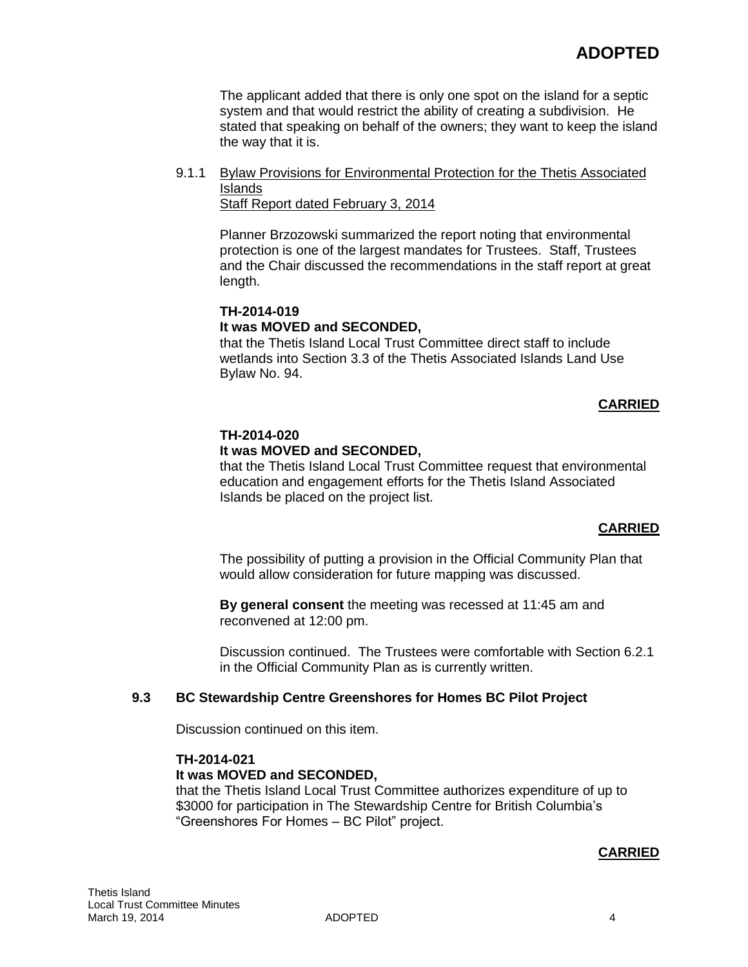The applicant added that there is only one spot on the island for a septic system and that would restrict the ability of creating a subdivision. He stated that speaking on behalf of the owners; they want to keep the island the way that it is.

9.1.1 Bylaw Provisions for Environmental Protection for the Thetis Associated Islands

Staff Report dated February 3, 2014

Planner Brzozowski summarized the report noting that environmental protection is one of the largest mandates for Trustees. Staff, Trustees and the Chair discussed the recommendations in the staff report at great length.

## **TH-2014-019 It was MOVED and SECONDED,**

that the Thetis Island Local Trust Committee direct staff to include wetlands into Section 3.3 of the Thetis Associated Islands Land Use Bylaw No. 94.

## **CARRIED**

### **TH-2014-020**

## **It was MOVED and SECONDED,**

that the Thetis Island Local Trust Committee request that environmental education and engagement efforts for the Thetis Island Associated Islands be placed on the project list.

### **CARRIED**

The possibility of putting a provision in the Official Community Plan that would allow consideration for future mapping was discussed.

**By general consent** the meeting was recessed at 11:45 am and reconvened at 12:00 pm.

Discussion continued. The Trustees were comfortable with Section 6.2.1 in the Official Community Plan as is currently written.

### **9.3 BC Stewardship Centre Greenshores for Homes BC Pilot Project**

Discussion continued on this item.

### **TH-2014-021**

### **It was MOVED and SECONDED,**

that the Thetis Island Local Trust Committee authorizes expenditure of up to \$3000 for participation in The Stewardship Centre for British Columbia's "Greenshores For Homes – BC Pilot" project.

### **CARRIED**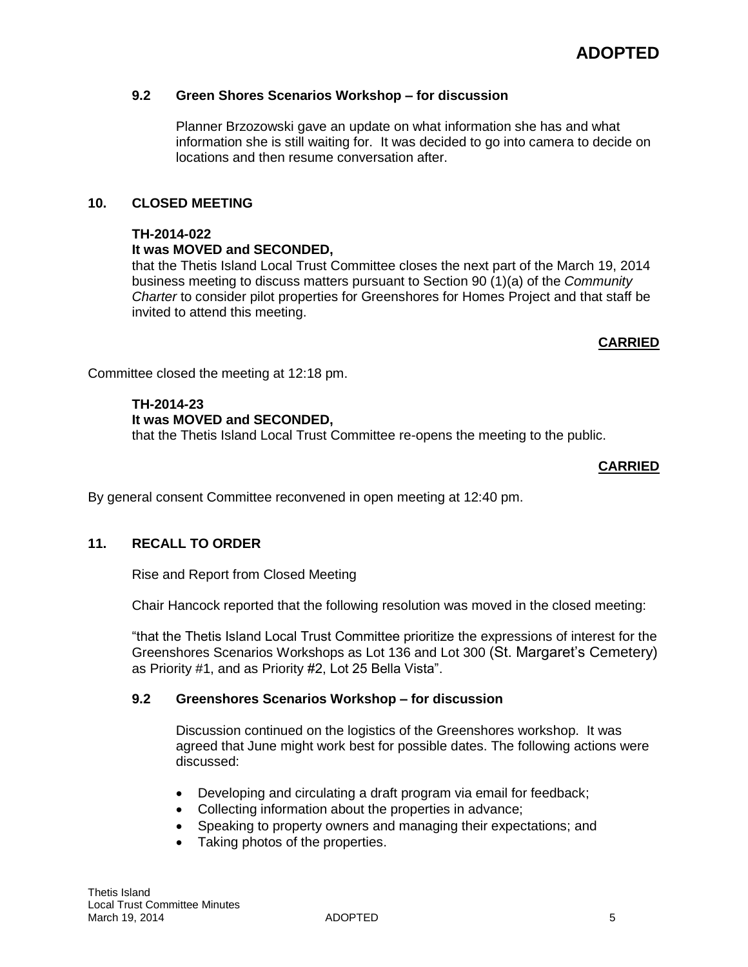# **9.2 Green Shores Scenarios Workshop – for discussion**

Planner Brzozowski gave an update on what information she has and what information she is still waiting for. It was decided to go into camera to decide on locations and then resume conversation after.

# **10. CLOSED MEETING**

## **TH-2014-022**

# **It was MOVED and SECONDED,**

that the Thetis Island Local Trust Committee closes the next part of the March 19, 2014 business meeting to discuss matters pursuant to Section 90 (1)(a) of the *Community Charter* to consider pilot properties for Greenshores for Homes Project and that staff be invited to attend this meeting.

# **CARRIED**

Committee closed the meeting at 12:18 pm.

# **TH-2014-23**

## **It was MOVED and SECONDED,**

that the Thetis Island Local Trust Committee re-opens the meeting to the public.

## **CARRIED**

By general consent Committee reconvened in open meeting at 12:40 pm.

# **11. RECALL TO ORDER**

Rise and Report from Closed Meeting

Chair Hancock reported that the following resolution was moved in the closed meeting:

"that the Thetis Island Local Trust Committee prioritize the expressions of interest for the Greenshores Scenarios Workshops as Lot 136 and Lot 300 (St. Margaret's Cemetery) as Priority #1, and as Priority #2, Lot 25 Bella Vista".

## **9.2 Greenshores Scenarios Workshop – for discussion**

Discussion continued on the logistics of the Greenshores workshop. It was agreed that June might work best for possible dates. The following actions were discussed:

- Developing and circulating a draft program via email for feedback;
- Collecting information about the properties in advance;
- Speaking to property owners and managing their expectations; and
- Taking photos of the properties.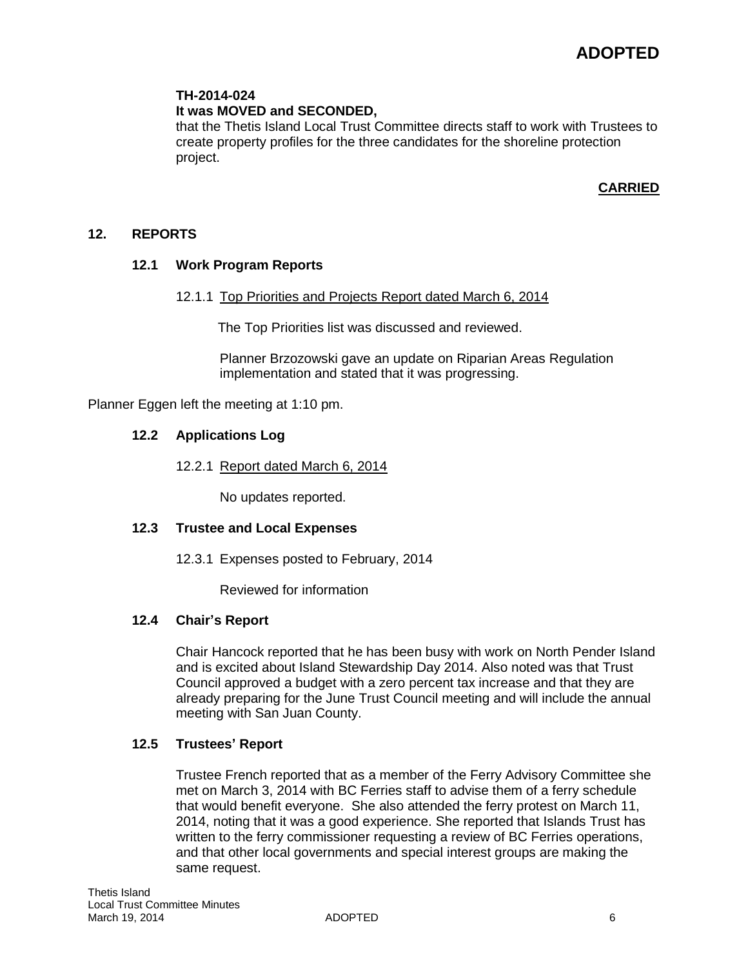### **TH-2014-024**

### **It was MOVED and SECONDED,**

that the Thetis Island Local Trust Committee directs staff to work with Trustees to create property profiles for the three candidates for the shoreline protection project.

### **CARRIED**

### **12. REPORTS**

### **12.1 Work Program Reports**

### 12.1.1 Top Priorities and Projects Report dated March 6, 2014

The Top Priorities list was discussed and reviewed.

Planner Brzozowski gave an update on Riparian Areas Regulation implementation and stated that it was progressing.

Planner Eggen left the meeting at 1:10 pm.

### **12.2 Applications Log**

12.2.1 Report dated March 6, 2014

No updates reported.

### **12.3 Trustee and Local Expenses**

12.3.1 Expenses posted to February, 2014

Reviewed for information

### **12.4 Chair's Report**

Chair Hancock reported that he has been busy with work on North Pender Island and is excited about Island Stewardship Day 2014. Also noted was that Trust Council approved a budget with a zero percent tax increase and that they are already preparing for the June Trust Council meeting and will include the annual meeting with San Juan County.

### **12.5 Trustees' Report**

Trustee French reported that as a member of the Ferry Advisory Committee she met on March 3, 2014 with BC Ferries staff to advise them of a ferry schedule that would benefit everyone. She also attended the ferry protest on March 11, 2014, noting that it was a good experience. She reported that Islands Trust has written to the ferry commissioner requesting a review of BC Ferries operations, and that other local governments and special interest groups are making the same request.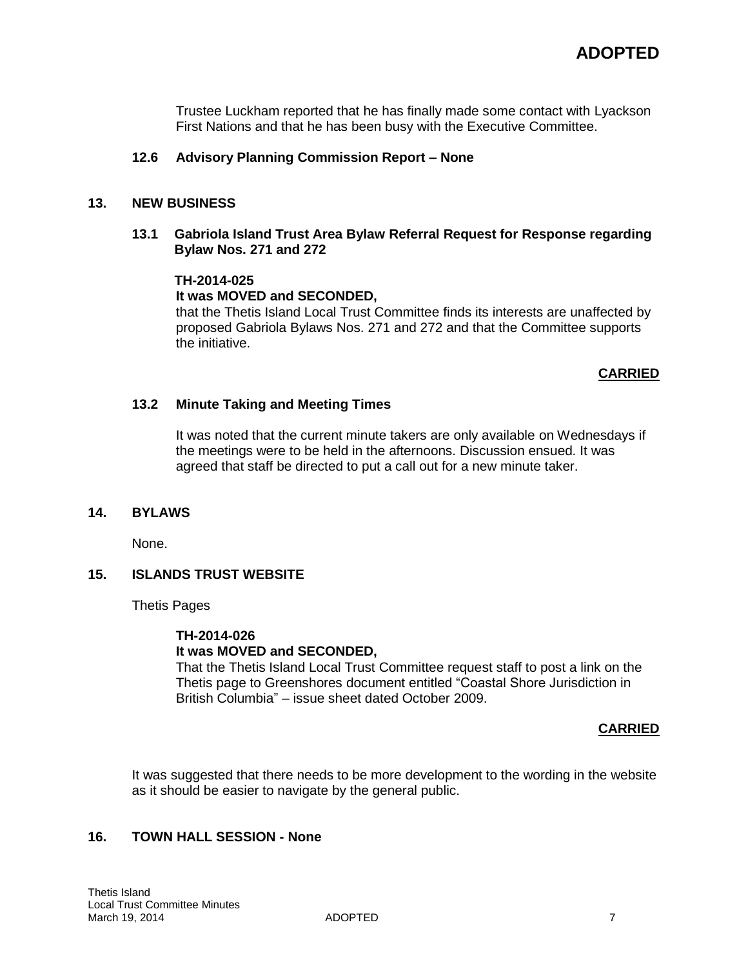Trustee Luckham reported that he has finally made some contact with Lyackson First Nations and that he has been busy with the Executive Committee.

### **12.6 Advisory Planning Commission Report – None**

#### **13. NEW BUSINESS**

### **13.1 Gabriola Island Trust Area Bylaw Referral Request for Response regarding Bylaw Nos. 271 and 272**

### **TH-2014-025**

### **It was MOVED and SECONDED,**

that the Thetis Island Local Trust Committee finds its interests are unaffected by proposed Gabriola Bylaws Nos. 271 and 272 and that the Committee supports the initiative.

### **CARRIED**

#### **13.2 Minute Taking and Meeting Times**

It was noted that the current minute takers are only available on Wednesdays if the meetings were to be held in the afternoons. Discussion ensued. It was agreed that staff be directed to put a call out for a new minute taker.

#### **14. BYLAWS**

None.

### **15. ISLANDS TRUST WEBSITE**

Thetis Pages

#### **TH-2014-026**

### **It was MOVED and SECONDED,**

That the Thetis Island Local Trust Committee request staff to post a link on the Thetis page to Greenshores document entitled "Coastal Shore Jurisdiction in British Columbia" – issue sheet dated October 2009.

### **CARRIED**

It was suggested that there needs to be more development to the wording in the website as it should be easier to navigate by the general public.

### **16. TOWN HALL SESSION - None**